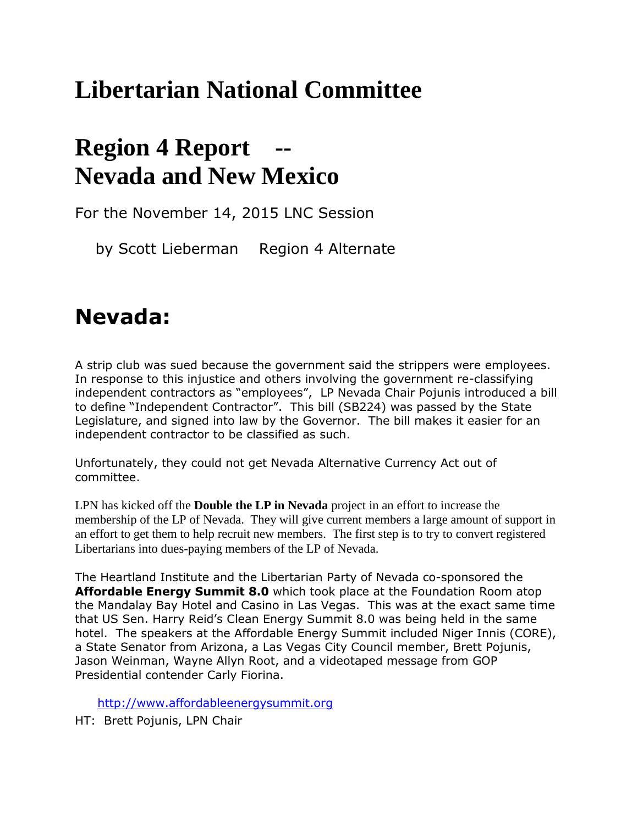## **Libertarian National Committee**

## **Region 4 Report Nevada and New Mexico**

For the November 14, 2015 LNC Session

by Scott Lieberman Region 4 Alternate

## **Nevada:**

A strip club was sued because the government said the strippers were employees. In response to this injustice and others involving the government re-classifying independent contractors as "employees", LP Nevada Chair Pojunis introduced a bill to define "Independent Contractor". This bill (SB224) was passed by the State Legislature, and signed into law by the Governor. The bill makes it easier for an independent contractor to be classified as such.

Unfortunately, they could not get Nevada Alternative Currency Act out of committee.

LPN has kicked off the **Double the LP in Nevada** project in an effort to increase the membership of the LP of Nevada. They will give current members a large amount of support in an effort to get them to help recruit new members. The first step is to try to convert registered Libertarians into dues-paying members of the LP of Nevada.

[The Heartland Institute](https://www.heartland.org/) and the [Libertarian Party of Nevada](http://www.lpnevada.org/) co-sponsored the **Affordable Energy Summit 8.0** which took place at the Foundation Room atop the Mandalay Bay Hotel and Casino in Las Vegas. This was at the exact same time that US Sen. Harry Reid's Clean Energy Summit 8.0 was being held in the same hotel. The speakers at the Affordable Energy Summit included Niger Innis (CORE), a State Senator from Arizona, a Las Vegas City Council member, Brett Pojunis, Jason Weinman, Wayne Allyn Root, and a videotaped message from GOP Presidential contender Carly Fiorina.

[http://www.affordableenergysummit.org](http://www.affordableenergysummit.org/)

HT: Brett Pojunis, LPN Chair